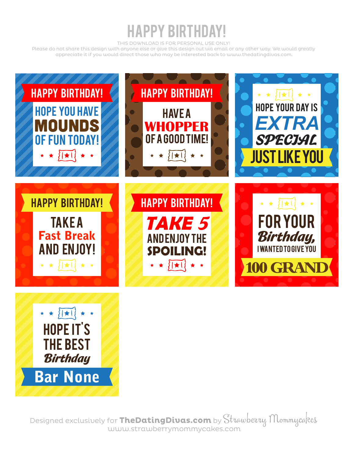### HAPPY BIRTHDAY!

THIS DOWNLOAD IS FOR PERSONAL USE ONLY!

Please do not share this design with anyone else or give this design out via email or any other way. We would greatly appreciate it if you would direct those who may be interested back to www.thedatingdivas.com.

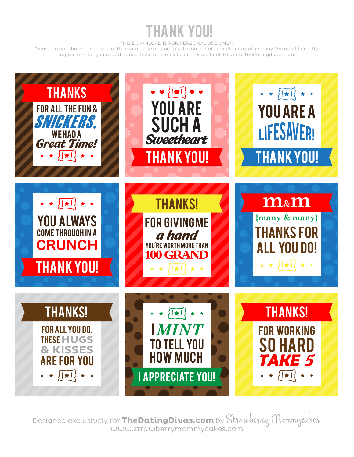### THANK YOU!

THIS DOWNLOAD IS FOR PERSONAL USE ONLY!

Please do not share this design with anyone else or give this design out via email or any other way. We would greatly appreciate it if you would direct those who may be interested back to www.thedatingdivas.com.

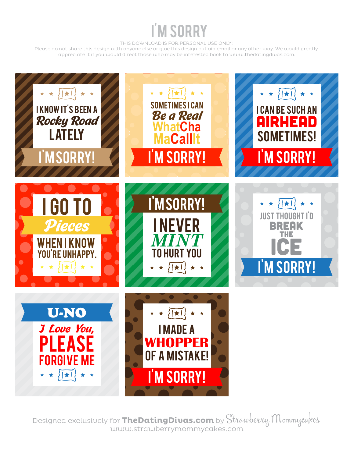# I'M SORRY

THIS DOWNLOAD IS FOR PERSONAL USE ONLY!

Please do not share this design with anyone else or give this design out via email or any other way. We would greatly appreciate it if you would direct those who may be interested back to www.thedatingdivas.com.

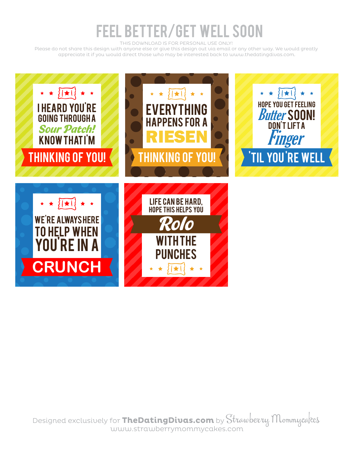## FEEL BETTER/GET WELL SOON

THIS DOWNLOAD IS FOR PERSONAL USE ONLY!

Please do not share this design with anyone else or give this design out via email or any other way. We would greatly appreciate it if you would direct those who may be interested back to www.thedatingdivas.com.

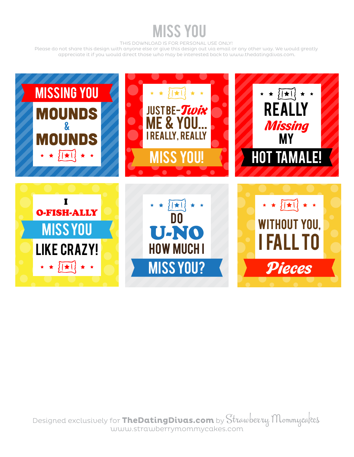### MISS YOU

THIS DOWNLOAD IS FOR PERSONAL USE ONLY!

Please do not share this design with anyone else or give this design out via email or any other way. We would greatly appreciate it if you would direct those who may be interested back to www.thedatingdivas.com.

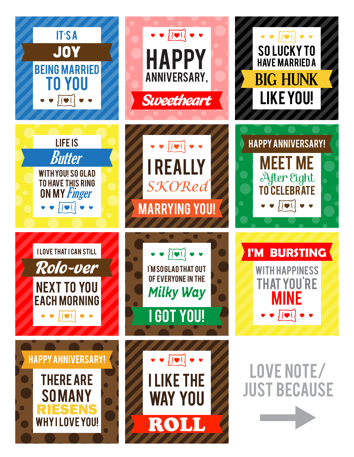